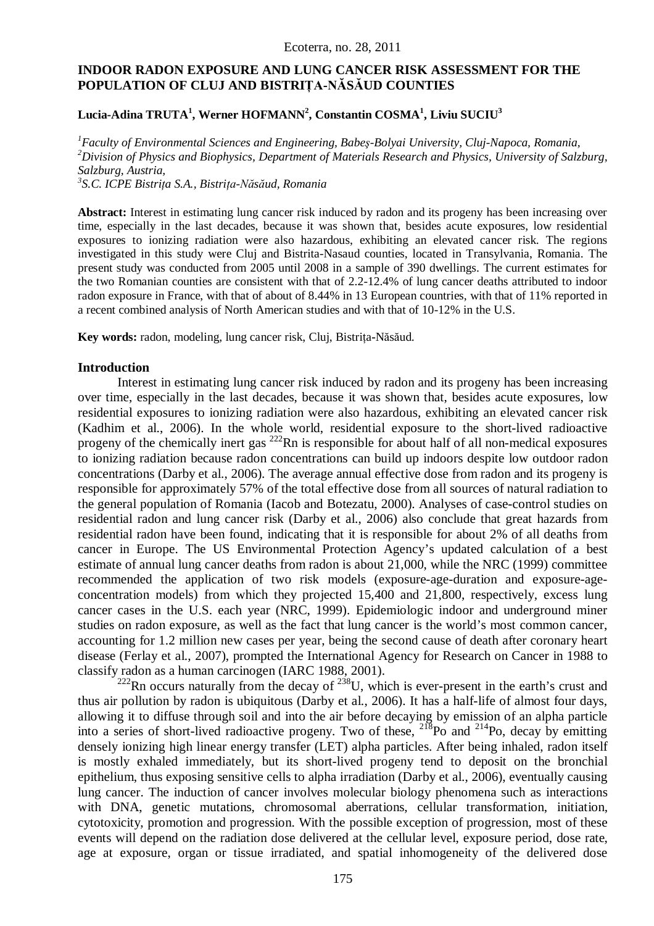# **INDOOR RADON EXPOSURE AND LUNG CANCER RISK ASSESSMENT FOR THE POPULATION OF CLUJ AND BISTRIŢA-NĂSĂUD COUNTIES**

## **Lucia-Adina TRUTA<sup>1</sup> , Werner HOFMANN<sup>2</sup> , Constantin COSMA<sup>1</sup> , Liviu SUCIU<sup>3</sup>**

*<sup>1</sup>Faculty of Environmental Sciences and Engineering, Babeş-Bolyai University, Cluj-Napoca, Romania, <sup>2</sup>Division of Physics and Biophysics, Department of Materials Research and Physics, University of Salzburg, Salzburg, Austria,*

*3 S.C. ICPE Bistriţa S.A., Bistriţa-Năsăud, Romania*

Abstract: Interest in estimating lung cancer risk induced by radon and its progeny has been increasing over time, especially in the last decades, because it was shown that, besides acute exposures, low residential exposures to ionizing radiation were also hazardous, exhibiting an elevated cancer risk. The regions investigated in this study were Cluj and Bistrita-Nasaud counties, located in Transylvania, Romania. The present study was conducted from 2005 until 2008 in a sample of 390 dwellings. The current estimates for the two Romanian counties are consistent with that of 2.2-12.4% of lung cancer deaths attributed to indoor radon exposure in France, with that of about of 8.44% in 13 European countries, with that of 11% reported in a recent combined analysis of North American studies and with that of 10-12% in the U.S.

**Key words:** radon, modeling, lung cancer risk, Cluj, Bistriţa**-**Năsăud.

### **Introduction**

Interest in estimating lung cancer risk induced by radon and its progeny has been increasing over time, especially in the last decades, because it was shown that, besides acute exposures, low residential exposures to ionizing radiation were also hazardous, exhibiting an elevated cancer risk (Kadhim et al., 2006). In the whole world, residential exposure to the short-lived radioactive progeny of the chemically inert gas  $^{222}$ Rn is responsible for about half of all non-medical exposures to ionizing radiation because radon concentrations can build up indoors despite low outdoor radon concentrations (Darby et al., 2006). The average annual effective dose from radon and its progeny is responsible for approximately 57% of the total effective dose from all sources of natural radiation to the general population of Romania (Iacob and Botezatu, 2000). Analyses of case-control studies on residential radon and lung cancer risk (Darby et al., 2006) also conclude that great hazards from residential radon have been found, indicating that it is responsible for about 2% of all deaths from cancer in Europe. The US Environmental Protection Agency's updated calculation of a best estimate of annual lung cancer deaths from radon is about 21,000, while the NRC (1999) committee recommended the application of two risk models (exposure-age-duration and exposure-ageconcentration models) from which they projected 15,400 and 21,800, respectively, excess lung cancer cases in the U.S. each year (NRC, 1999). Epidemiologic indoor and underground miner studies on radon exposure, as well as the fact that lung cancer is the world's most common cancer, accounting for 1.2 million new cases per year, being the second cause of death after coronary heart disease (Ferlay et al., 2007), prompted the International Agency for Research on Cancer in 1988 to classify radon as a human carcinogen (IARC 1988, 2001).

 $222$ Rn occurs naturally from the decay of  $238$ U, which is ever-present in the earth's crust and thus air pollution by radon is ubiquitous (Darby et al., 2006). It has a half-life of almost four days, allowing it to diffuse through soil and into the air before decaying by emission of an alpha particle into a series of short-lived radioactive progeny. Two of these,  $^{218}$ Po and  $^{214}$ Po, decay by emitting densely ionizing high linear energy transfer (LET) alpha particles. After being inhaled, radon itself is mostly exhaled immediately, but its short-lived progeny tend to deposit on the bronchial epithelium, thus exposing sensitive cells to alpha irradiation (Darby et al., 2006), eventually causing lung cancer. The induction of cancer involves molecular biology phenomena such as interactions with DNA, genetic mutations, chromosomal aberrations, cellular transformation, initiation, cytotoxicity, promotion and progression. With the possible exception of progression, most of these events will depend on the radiation dose delivered at the cellular level, exposure period, dose rate, age at exposure, organ or tissue irradiated, and spatial inhomogeneity of the delivered dose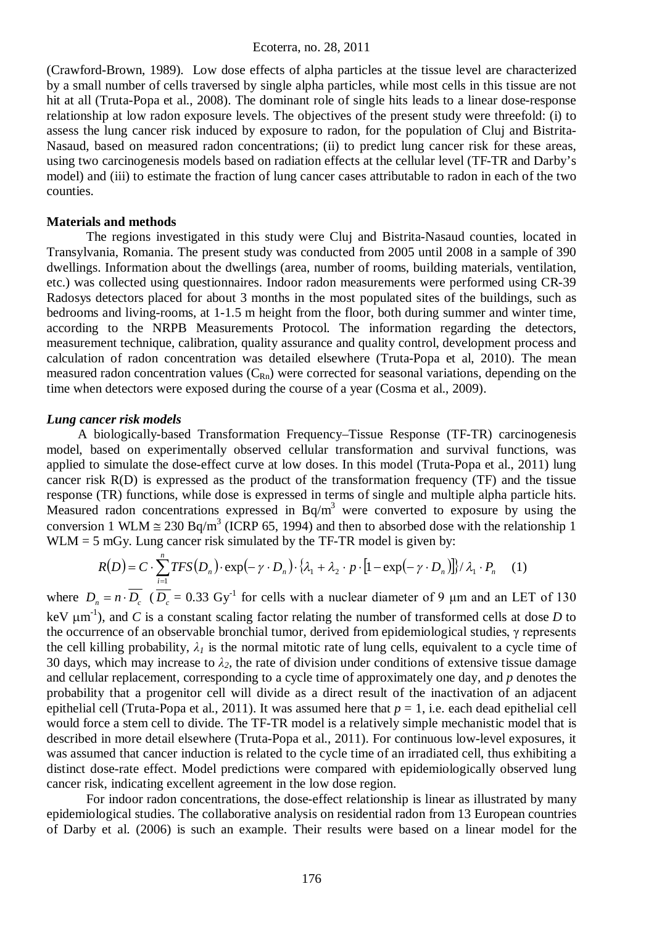(Crawford-Brown, 1989). Low dose effects of alpha particles at the tissue level are characterized by a small number of cells traversed by single alpha particles, while most cells in this tissue are not hit at all (Truta-Popa et al., 2008). The dominant role of single hits leads to a linear dose-response relationship at low radon exposure levels. The objectives of the present study were threefold: (i) to assess the lung cancer risk induced by exposure to radon, for the population of Cluj and Bistrita-Nasaud, based on measured radon concentrations; (ii) to predict lung cancer risk for these areas, using two carcinogenesis models based on radiation effects at the cellular level (TF-TR and Darby's model) and (iii) to estimate the fraction of lung cancer cases attributable to radon in each of the two counties.

#### **Materials and methods**

The regions investigated in this study were Cluj and Bistrita-Nasaud counties, located in Transylvania, Romania. The present study was conducted from 2005 until 2008 in a sample of 390 dwellings. Information about the dwellings (area, number of rooms, building materials, ventilation, etc.) was collected using questionnaires. Indoor radon measurements were performed using CR-39 Radosys detectors placed for about 3 months in the most populated sites of the buildings, such as bedrooms and living-rooms, at 1-1.5 m height from the floor, both during summer and winter time, according to the NRPB Measurements Protocol. The information regarding the detectors, measurement technique, calibration, quality assurance and quality control, development process and calculation of radon concentration was detailed elsewhere (Truta-Popa et al, 2010). The mean measured radon concentration values  $(C_{Rn})$  were corrected for seasonal variations, depending on the time when detectors were exposed during the course of a year (Cosma et al., 2009).

#### *Lung cancer risk models*

A biologically-based Transformation Frequency–Tissue Response (TF-TR) carcinogenesis model, based on experimentally observed cellular transformation and survival functions, was applied to simulate the dose-effect curve at low doses. In this model (Truta-Popa et al., 2011) lung cancer risk R(D) is expressed as the product of the transformation frequency (TF) and the tissue response (TR) functions, while dose is expressed in terms of single and multiple alpha particle hits. Measured radon concentrations expressed in  $Bq/m<sup>3</sup>$  were converted to exposure by using the conversion 1 WLM  $\approx 230$  Bq/m<sup>3</sup> (ICRP 65, 1994) and then to absorbed dose with the relationship 1  $WLM = 5$  mGy. Lung cancer risk simulated by the TF-TR model is given by:

$$
R(D) = C \cdot \sum_{i=1}^{n} TFS(D_n) \cdot \exp(-\gamma \cdot D_n) \cdot \{\lambda_1 + \lambda_2 \cdot p \cdot [1 - \exp(-\gamma \cdot D_n)]\} / \lambda_1 \cdot P_n \quad (1)
$$

where  $D_n = n \cdot \overline{D_c}$  ( $\overline{D_c} = 0.33$  Gy<sup>-1</sup> for cells with a nuclear diameter of 9  $\mu$ m and an LET of 130 keV  $\mu$ m<sup>-1</sup>), and *C* is a constant scaling factor relating the number of transformed cells at dose *D* to the occurrence of an observable bronchial tumor, derived from epidemiological studies, γ represents the cell killing probability,  $\lambda_l$  is the normal mitotic rate of lung cells, equivalent to a cycle time of 30 days, which may increase to  $\lambda_2$ , the rate of division under conditions of extensive tissue damage and cellular replacement, corresponding to a cycle time of approximately one day, and *p* denotes the probability that a progenitor cell will divide as a direct result of the inactivation of an adjacent epithelial cell (Truta-Popa et al., 2011). It was assumed here that *p* = 1, i.e. each dead epithelial cell would force a stem cell to divide. The TF-TR model is a relatively simple mechanistic model that is described in more detail elsewhere (Truta-Popa et al., 2011). For continuous low-level exposures, it was assumed that cancer induction is related to the cycle time of an irradiated cell, thus exhibiting a distinct dose-rate effect. Model predictions were compared with epidemiologically observed lung cancer risk, indicating excellent agreement in the low dose region.

For indoor radon concentrations, the dose-effect relationship is linear as illustrated by many epidemiological studies. The collaborative analysis on residential radon from 13 European countries of Darby et al. (2006) is such an example. Their results were based on a linear model for the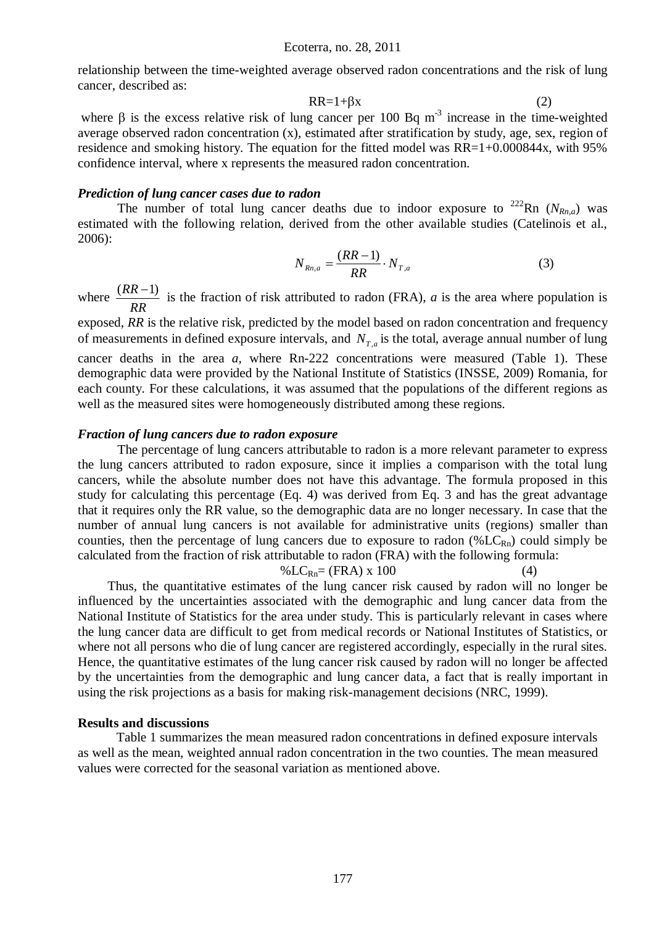relationship between the time-weighted average observed radon concentrations and the risk of lung cancer, described as:

$$
RR=1+\beta x \tag{2}
$$

where  $\beta$  is the excess relative risk of lung cancer per 100 Bq m<sup>-3</sup> increase in the time-weighted average observed radon concentration (x), estimated after stratification by study, age, sex, region of residence and smoking history. The equation for the fitted model was RR=1+0.000844x, with 95% confidence interval, where x represents the measured radon concentration.

#### *Prediction of lung cancer cases due to radon*

The number of total lung cancer deaths due to indoor exposure to  $^{222}$ Rn ( $N_{Rn,q}$ ) was estimated with the following relation, derived from the other available studies (Catelinois et al., 2006):

$$
N_{Rn,a} = \frac{(RR-1)}{RR} \cdot N_{T,a} \tag{3}
$$

where *RR*  $\frac{(RR-1)}{RR}$  is the fraction of risk attributed to radon (FRA), *a* is the area where population is

exposed, RR is the relative risk, predicted by the model based on radon concentration and frequency of measurements in defined exposure intervals, and  $N_{T,a}$  is the total, average annual number of lung cancer deaths in the area *a,* where Rn-222 concentrations were measured (Table 1). These demographic data were provided by the National Institute of Statistics (INSSE, 2009) Romania, for each county. For these calculations, it was assumed that the populations of the different regions as well as the measured sites were homogeneously distributed among these regions.

#### *Fraction of lung cancers due to radon exposure*

The percentage of lung cancers attributable to radon is a more relevant parameter to express the lung cancers attributed to radon exposure, since it implies a comparison with the total lung cancers, while the absolute number does not have this advantage. The formula proposed in this study for calculating this percentage (Eq. 4) was derived from Eq. 3 and has the great advantage that it requires only the RR value, so the demographic data are no longer necessary. In case that the number of annual lung cancers is not available for administrative units (regions) smaller than counties, then the percentage of lung cancers due to exposure to radon  $(\mathcal{C}_{LC_{Rn}})$  could simply be calculated from the fraction of risk attributable to radon (FRA) with the following formula:

$$
\% LC_{\text{Rn}} = (FRA) \times 100 \tag{4}
$$

Thus, the quantitative estimates of the lung cancer risk caused by radon will no longer be influenced by the uncertainties associated with the demographic and lung cancer data from the National Institute of Statistics for the area under study. This is particularly relevant in cases where the lung cancer data are difficult to get from medical records or National Institutes of Statistics, or where not all persons who die of lung cancer are registered accordingly, especially in the rural sites. Hence, the quantitative estimates of the lung cancer risk caused by radon will no longer be affected by the uncertainties from the demographic and lung cancer data, a fact that is really important in using the risk projections as a basis for making risk-management decisions (NRC, 1999).

#### **Results and discussions**

Table 1 summarizes the mean measured radon concentrations in defined exposure intervals as well as the mean, weighted annual radon concentration in the two counties. The mean measured values were corrected for the seasonal variation as mentioned above.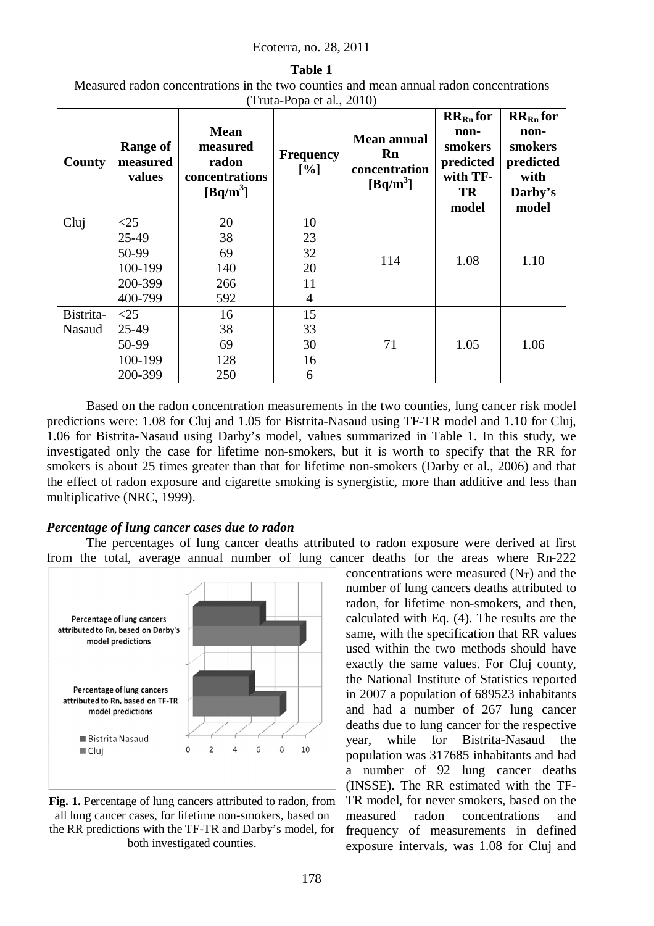### Ecoterra, no. 28, 2011

### **Table 1**

Measured radon concentrations in the two counties and mean annual radon concentrations (Truta-Popa et al., 2010)

| County    | <b>Range of</b><br>measured<br>values | <b>Mean</b><br>measured<br>radon<br>concentrations<br>$[Bq/m^3]$ | <b>Frequency</b><br>[%] | <b>Mean annual</b><br>Rn<br>concentration<br>$[\text{Bq/m}^3]$ | $RRRn$ for<br>non-<br>smokers<br>predicted<br>with TF-<br><b>TR</b><br>model | $RRRn$ for<br>non-<br>smokers<br>predicted<br>with<br>Darby's<br>model |
|-----------|---------------------------------------|------------------------------------------------------------------|-------------------------|----------------------------------------------------------------|------------------------------------------------------------------------------|------------------------------------------------------------------------|
| Clui      | $\leq$ 25                             | 20                                                               | 10                      | 114                                                            | 1.08                                                                         | 1.10                                                                   |
|           | 25-49                                 | 38                                                               | 23                      |                                                                |                                                                              |                                                                        |
|           | 50-99                                 | 69                                                               | 32                      |                                                                |                                                                              |                                                                        |
|           | 100-199                               | 140                                                              | 20                      |                                                                |                                                                              |                                                                        |
|           | 200-399                               | 266                                                              | 11                      |                                                                |                                                                              |                                                                        |
|           | 400-799                               | 592                                                              | $\overline{4}$          |                                                                |                                                                              |                                                                        |
| Bistrita- | <25                                   | 16                                                               | 15                      |                                                                |                                                                              |                                                                        |
| Nasaud    | 25-49                                 | 38                                                               | 33                      |                                                                |                                                                              |                                                                        |
|           | 50-99                                 | 69                                                               | 30                      | 71                                                             | 1.05                                                                         | 1.06                                                                   |
|           | 100-199                               | 128                                                              | 16                      |                                                                |                                                                              |                                                                        |
|           | 200-399                               | 250                                                              | 6                       |                                                                |                                                                              |                                                                        |

Based on the radon concentration measurements in the two counties, lung cancer risk model predictions were: 1.08 for Cluj and 1.05 for Bistrita-Nasaud using TF-TR model and 1.10 for Cluj, 1.06 for Bistrita-Nasaud using Darby's model, values summarized in Table 1. In this study, we investigated only the case for lifetime non-smokers, but it is worth to specify that the RR for smokers is about 25 times greater than that for lifetime non-smokers (Darby et al., 2006) and that the effect of radon exposure and cigarette smoking is synergistic, more than additive and less than multiplicative (NRC, 1999).

## *Percentage of lung cancer cases due to radon*

The percentages of lung cancer deaths attributed to radon exposure were derived at first from the total, average annual number of lung cancer deaths for the areas where Rn-222



**Fig. 1.** Percentage of lung cancers attributed to radon, from all lung cancer cases, for lifetime non-smokers, based on the RR predictions with the TF-TR and Darby's model, for both investigated counties.

concentrations were measured  $(N_T)$  and the number of lung cancers deaths attributed to radon, for lifetime non-smokers, and then, calculated with Eq. (4). The results are the same, with the specification that RR values used within the two methods should have exactly the same values. For Cluj county, the National Institute of Statistics reported in 2007 a population of 689523 inhabitants and had a number of 267 lung cancer deaths due to lung cancer for the respective year, while for Bistrita-Nasaud the population was 317685 inhabitants and had a number of 92 lung cancer deaths (INSSE). The RR estimated with the TF-TR model, for never smokers, based on the measured radon concentrations and frequency of measurements in defined exposure intervals, was 1.08 for Cluj and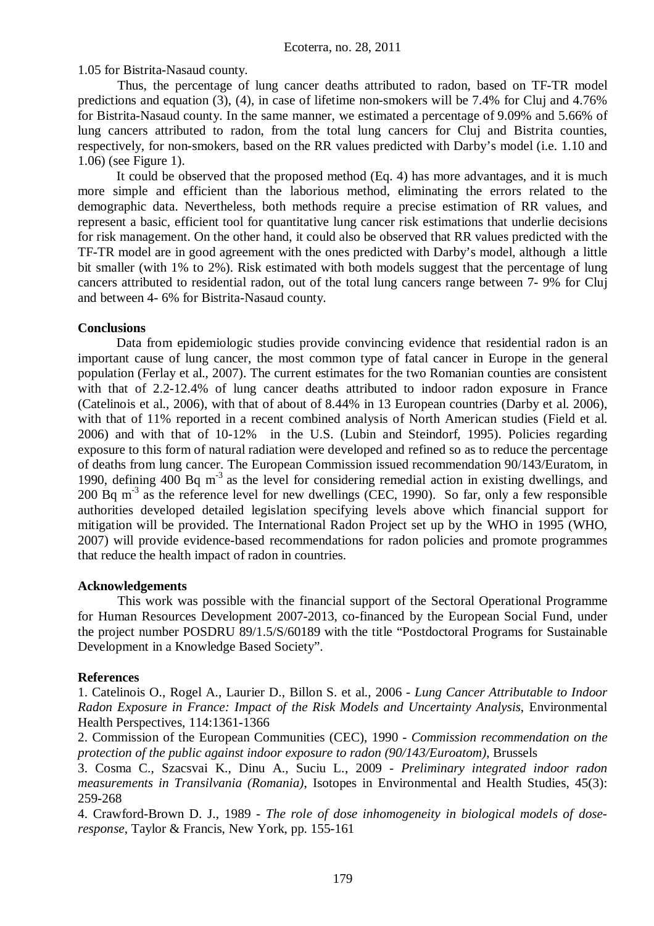1.05 for Bistrita-Nasaud county.

Thus, the percentage of lung cancer deaths attributed to radon, based on TF-TR model predictions and equation (3), (4), in case of lifetime non-smokers will be 7.4% for Cluj and 4.76% for Bistrita-Nasaud county. In the same manner, we estimated a percentage of 9.09% and 5.66% of lung cancers attributed to radon, from the total lung cancers for Cluj and Bistrita counties, respectively, for non-smokers, based on the RR values predicted with Darby's model (i.e. 1.10 and 1.06) (see Figure 1).

It could be observed that the proposed method (Eq. 4) has more advantages, and it is much more simple and efficient than the laborious method, eliminating the errors related to the demographic data. Nevertheless, both methods require a precise estimation of RR values, and represent a basic, efficient tool for quantitative lung cancer risk estimations that underlie decisions for risk management. On the other hand, it could also be observed that RR values predicted with the TF-TR model are in good agreement with the ones predicted with Darby's model, although a little bit smaller (with 1% to 2%). Risk estimated with both models suggest that the percentage of lung cancers attributed to residential radon, out of the total lung cancers range between 7- 9% for Cluj and between 4- 6% for Bistrita-Nasaud county.

# **Conclusions**

Data from epidemiologic studies provide convincing evidence that residential radon is an important cause of lung cancer, the most common type of fatal cancer in Europe in the general population (Ferlay et al., 2007). The current estimates for the two Romanian counties are consistent with that of 2.2-12.4% of lung cancer deaths attributed to indoor radon exposure in France (Catelinois et al., 2006), with that of about of 8.44% in 13 European countries (Darby et al. 2006), with that of 11% reported in a recent combined analysis of North American studies (Field et al. 2006) and with that of 10-12% in the U.S. (Lubin and Steindorf, 1995). Policies regarding exposure to this form of natural radiation were developed and refined so as to reduce the percentage of deaths from lung cancer. The European Commission issued recommendation 90/143/Euratom, in 1990, defining 400 Bq  $m<sup>3</sup>$  as the level for considering remedial action in existing dwellings, and 200 Bq m<sup>-3</sup> as the reference level for new dwellings (CEC, 1990). So far, only a few responsible authorities developed detailed legislation specifying levels above which financial support for mitigation will be provided. The International Radon Project set up by the WHO in 1995 (WHO, 2007) will provide evidence-based recommendations for radon policies and promote programmes that reduce the health impact of radon in countries.

## **Acknowledgements**

This work was possible with the financial support of the Sectoral Operational Programme for Human Resources Development 2007-2013, co-financed by the European Social Fund, under the project number POSDRU 89/1.5/S/60189 with the title "Postdoctoral Programs for Sustainable Development in a Knowledge Based Society".

## **References**

1. Catelinois O., Rogel A., Laurier D., Billon S. et al., 2006 - *Lung Cancer Attributable to Indoor Radon Exposure in France: Impact of the Risk Models and Uncertainty Analysis*, Environmental Health Perspectives, 114:1361-1366

2. Commission of the European Communities (CEC), 1990 - *Commission recommendation on the protection of the public against indoor exposure to radon (90/143/Euroatom)*, Brussels

3. Cosma C., Szacsvai K., Dinu A., Suciu L., 2009 - *Preliminary integrated indoor radon measurements in Transilvania (Romania)*, Isotopes in Environmental and Health Studies, 45(3): 259-268

4. Crawford-Brown D. J., 1989 - *The role of dose inhomogeneity in biological models of doseresponse*, Taylor & Francis, New York, pp. 155-161